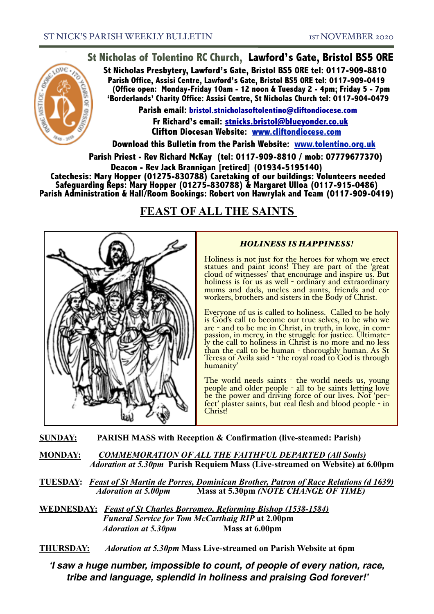

**Parish Office, Assisi Centre, Lawford's Gate, Bristol BS5 0RE tel: 0117-909-0419 (Office open: Monday-Friday 10am - 12 noon & Tuesday 2 - 4pm; Friday 5 - 7pm 'Borderlands' Charity Office: Assisi Centre, St Nicholas Church tel: 0117-904-0479 Parish email: [bristol.stnicholasoftolentino@cliftondiocese.com](mailto:bristol.stnicholasoftolentino@cliftondiocese.com)**

**Fr Richard's email: [stnicks.bristol@blueyonder.co.uk](mailto:stnicks.bristol@blueyonder.co.uk) Clifton Diocesan Website: [www.cliftondiocese.com](http://www.cliftondiocese.com)**

**Download this Bulletin from the Parish Website: [www.tolentino.org.uk](http://www.cliftondiocese.com) Parish Priest - Rev Richard McKay (tel: 0117-909-8810 / mob: 07779677370)** 

**Deacon - Rev Jack Brannigan [retired] (01934-5195140)** 

 **Catechesis: Mary Hopper (01275-830788) Caretaking of our buildings: Volunteers needed Safeguarding Reps: Mary Hopper (01275-830788) & Margaret Ulloa (0117-915-0486) Parish Administration & Hall/Room Bookings: Robert von Hawrylak and Team (0117-909-0419)**

# **FEAST OF ALL THE SAINTS**



## *HOLINESS IS HAPPINESS!*

Holiness is not just for the heroes for whom we erect statues and paint icons! They are part of the 'great cloud of witnesses' that encourage and inspire us. But holiness is for us as well - ordinary and extraordinary mums and dads, uncles and aunts, friends and co- workers, brothers and sisters in the Body of Christ.

Everyone of us is called to holiness. Called to be holy is God's call to become our true selves, to be who we are - and to be me in Christ, in truth, in love, in comare - and to be mercy, in the struggle for justice. Ultimate-<br>ly the call to holiness in Christ is no more and no less than the call to be human - thoroughly human. As St Teresa of Avila said - 'the royal road to God is through humanity'

The world needs saints - the world needs us, young people and older people - all to be saints letting love be the power and driving force of our lives. Not 'per- fect' plaster saints, but real flesh and blood people - in Christ!

**SUNDAY: PARISH MASS with Reception & Confirmation (live-steamed: Parish)** 

**MONDAY:** *COMMEMORATION OF ALL THE FAITHFUL DEPARTED (All Souls)* *Adoration at 5.30pm* **Parish Requiem Mass (Live-streamed on Website) at 6.00pm** 

**TUESDAY:** *Feast of St Martin de Porres, Dominican Brother, Patron of Race Relations (d 1639)* *Adoration at 5.00pm* **Mass at 5.30pm** *(NOTE CHANGE OF TIME)*

**WEDNESDAY:** *Feast of St Charles Borromeo, Reforming Bishop (1538-1584) Funeral Service for Tom McCarthaig RIP* **at 2.00pm**  *Adoration at 5.30pm* **Mass at 6.00pm** 

**THURSDAY:** *Adoration at 5.30pm* **Mass Live-streamed on Parish Website at 6pm**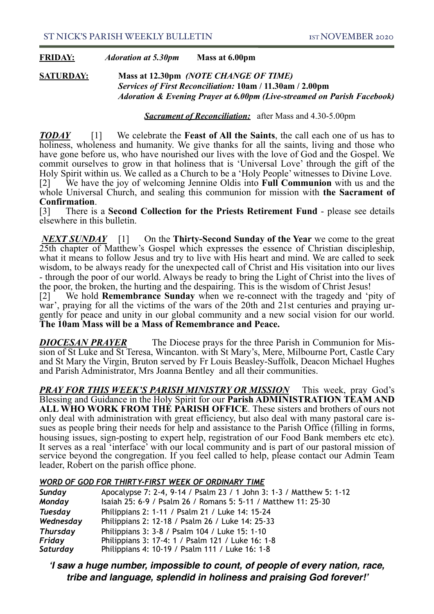## **FRIDAY:** *Adoration at 5.30pm* **Mass at 6.00pm**

**SATURDAY:****Mass at 12.30pm** *(NOTE CHANGE OF TIME) Services of First Reconciliation:* **10am / 11.30am / 2.00pm** *Adoration & Evening Prayer at 6.00pm (Live-streamed on Parish Facebook)* 

*Sacrament of Reconciliation:* after Mass and 4.30-5.00pm

*TODAY* [1] We celebrate the **Feast of All the Saints**, the call each one of us has to holiness, wholeness and humanity. We give thanks for all the saints, living and those who have gone before us, who have nourished our lives with the love of God and the Gospel. We commit ourselves to grow in that holiness that is 'Universal Love' through the gift of the Holy Spirit within us. We called as a Church to be a 'Holy People' witnesses to Divine Love. [2] We have the joy of welcoming Jennine Oldis into **Full Communion** with us and the whole Universal Church, and sealing this communion for mission with **the Sacrament of** 

## **Confirmation**.

[3] There is a **Second Collection for the Priests Retirement Fund** - please see details elsewhere in this bulletin.

*NEXT SUNDAY* [1] On the **Thirty-Second Sunday of the Year** we come to the great 25th chapter of Matthew's Gospel which expresses the essence of Christian discipleship, what it means to follow Jesus and try to live with His heart and mind. We are called to seek wisdom, to be always ready for the unexpected call of Christ and His visitation into our lives - through the poor of our world. Always be ready to bring the Light of Christ into the lives of the poor, the broken, the hurting and the despairing. This is the wisdom of Christ Jesus!

[2] We hold **Remembrance Sunday** when we re-connect with the tragedy and 'pity of war', praying for all the victims of the wars of the 20th and 21st centuries and praying urgently for peace and unity in our global community and a new social vision for our world. **The 10am Mass will be a Mass of Remembrance and Peace.**

*DIOCESAN PRAYER* The Diocese prays for the three Parish in Communion for Mis- sion of St Luke and St Teresa, Wincanton. with St Mary's, Mere, Milbourne Port, Castle Cary and St Mary the Virgin, Bruton served by Fr Louis Beasley-Suffolk, Deacon Michael Hughes and Parish Administrator, Mrs Joanna Bentley and all their communities.

*PRAY FOR THIS WEEK'S PARISH MINISTRY OR MISSION* This week, pray God's Blessing and Guidance in the Holy Spirit for our **Parish ADMINISTRATION TEAM AND ALL WHO WORK FROM THE PARISH OFFICE**. These sisters and brothers of ours not only deal with administration with great efficiency, but also deal with many pastoral care is- sues as people bring their needs for help and assistance to the Parish Office (filling in forms, housing issues, sign-posting to expert help, registration of our Food Bank members etc etc). It serves as a real 'interface' with our local community and is part of our pastoral mission of service beyond the congregation. If you feel called to help, please contact our Admin Team leader, Robert on the parish office phone.

### l *WORD OF GOD FOR THIRTY-FIRST WEEK OF ORDINARY TIME*

| Sunday          | Apocalypse 7: 2-4, 9-14 / Psalm 23 / 1 John 3: 1-3 / Matthew 5: 1-12 |
|-----------------|----------------------------------------------------------------------|
| Monday          | Isaiah 25: 6-9 / Psalm 26 / Romans 5: 5-11 / Matthew 11: 25-30       |
| <b>Tuesday</b>  | Philippians 2: 1-11 / Psalm 21 / Luke 14: 15-24                      |
| Wednesday       | Philippians 2: 12-18 / Psalm 26 / Luke 14: 25-33                     |
| <b>Thursday</b> | Philippians 3: 3-8 / Psalm 104 / Luke 15: 1-10                       |
| Friday          | Philippians 3: 17-4: 1 / Psalm 121 / Luke 16: 1-8                    |
| Saturday        | Philippians 4: 10-19 / Psalm 111 / Luke 16: 1-8                      |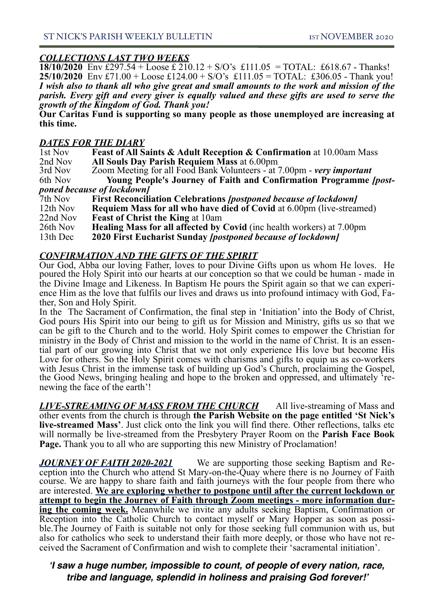*COLLECTIONS LAST TWO WEEKS* **18/10/2020** Env £297.54 + Loose £ 210.12 + S/O's £111.05 = TOTAL: £618.67 - Thanks! **25/10/2020** Env £71.00 + Loose £124.00 + S/O's £111.05 = TOTAL: £306.05 - Thank you! *I wish also to thank all who give great and small amounts to the work and mission of the parish. Every gift and every giver is equally valued and these gifts are used to serve the growth of the Kingdom of God. Thank you!* 

**Our Caritas Fund is supporting so many people as those unemployed are increasing at this time.**

## *DATES FOR THE DIARY*

| 1st Nov  | <b>Feast of All Saints &amp; Adult Reception &amp; Confirmation at 10.00am Mass</b> |
|----------|-------------------------------------------------------------------------------------|
| 2nd Nov  | All Souls Day Parish Requiem Mass at 6.00pm                                         |
| 3rd Nov  | Zoom Meeting for all Food Bank Volunteers - at 7.00pm - very important              |
| 6th Nov  | Young People's Journey of Faith and Confirmation Programme <i>(post-</i>            |
|          | poned because of lockdown]                                                          |
| 7th Nov  | <b>First Reconciliation Celebrations [postponed because of lockdown]</b>            |
| 12th Nov | <b>Requiem Mass for all who have died of Covid at 6.00pm (live-streamed)</b>        |
| 22nd Nov | <b>Feast of Christ the King at 10am</b>                                             |
| 26th Nov | <b>Healing Mass for all affected by Covid</b> (inc health workers) at 7.00pm        |
|          |                                                                                     |

13th Dec **2020 First Eucharist Sunday** *[postponed because of lockdown]*

## *CONFIRMATION AND THE GIFTS OF THE SPIRIT*

Our God, Abba our loving Father, loves to pour Divine Gifts upon us whom He loves. He poured the Holy Spirit into our hearts at our conception so that we could be human - made in the Divine Image and Likeness. In Baptism He pours the Spirit again so that we can experience Him as the love that fulfils our lives and draws us into profound intimacy with God, Fa-<br>ther. Son and Holy Spirit.

In the The Sacrament of Confirmation, the final step in 'Initiation' into the Body of Christ, God pours His Spirit into our being to gift us for Mission and Ministry, gifts us so that we can be gift to the Church and to the world. Holy Spirit comes to empower the Christian for ministry in the Body of Christ and mission to the world in the name of Christ. It is an essential part of our growing into Christ that we not only experience His love but become His Love for others. So the Holy Spirit comes with charisms and gifts to equip us as co-workers with Jesus Christ in the immense task of building up God's Church, proclaiming the Gospel, the Good News, bringing healing and hope to the broken and oppressed, and ultimately 'renewing the face of the earth'!

*LIVE-STREAMING OF MASS FROM THE CHURCH* All live-streaming of Mass and other events from the church is through **the Parish Website on the page entitled 'St Nick's live-streamed Mass'**. Just click onto the link you will find there. Other reflections, talks etc will normally be live-streamed from the Presbytery Prayer Room on the **Parish Face Book Page.** Thank you to all who are supporting this new Ministry of Proclamation!

*JOURNEY OF FAITH 2020-2021* We are supporting those seeking Baptism and Reception into the Church who attend St Mary-on-the-Quay where there is no Journey of Faith course. We are happy to share faith and faith journeys with the four people from there who are interested. We are exploring whether to postpone until after the current lockdown or attempt to begin the Journey of Faith through Zoom meetings - more information dur**ing the coming week.** Meanwhile we invite any adults seeking Baptism, Confirmation or Reception into the Catholic Church to contact myself or Mary Hopper as soon as possi- ble.The Journey of Faith is suitable not only for those seeking full communion with us, but also for catholics who seek to understand their faith more deeply, or those who have not re- ceived the Sacrament of Confirmation and wish to complete their 'sacramental initiation'.